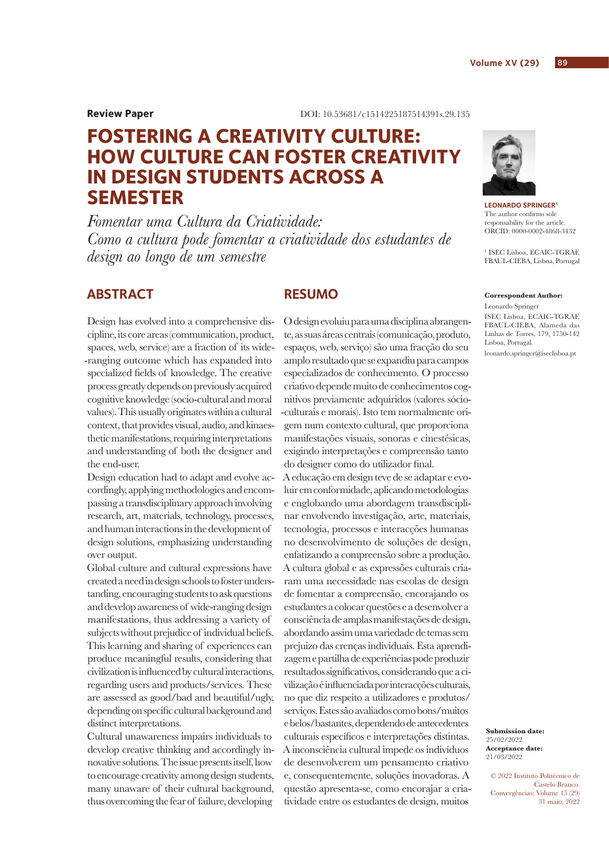**Review Paper**

DOI: 10.53681/c1514225187514391s.29.135

# **FOSTERING A CREATIVITY CULTURE: HOW CULTURE CAN FOSTER CREATIVITY IN DESIGN STUDENTS ACROSS A SEMESTER**

*Fomentar uma Cultura da Criatividade: Como a cultura pode fomentar a criatividade dos estudantes de design ao longo de um semestre*

# **ABSTRACT**

## **RESUMO**

Design has evolved into a comprehensive discipline, its core areas (communication, product, spaces, web, service) are a fraction of its wide- -ranging outcome which has expanded into specialized fields of knowledge. The creative process greatly depends on previously acquired cognitive knowledge (socio-cultural and moral values). This usually originates within a cultural context, that provides visual, audio, and kinaesthetic manifestations, requiring interpretations and understanding of both the designer and the end-user.

Design education had to adapt and evolve accordingly, applying methodologies and encompassing a transdisciplinary approach involving research, art, materials, technology, processes, and human interactions in the development of design solutions, emphasizing understanding over output.

Global culture and cultural expressions have created a need in design schools to foster understanding, encouraging students to ask questions and develop awareness of wide-ranging design manifestations, thus addressing a variety of subjects without prejudice of individual beliefs. This learning and sharing of experiences can produce meaningful results, considering that civilization is influenced by cultural interactions, regarding users and products/services. These are assessed as good/bad and beautiful/ugly, depending on specific cultural background and distinct interpretations.

Cultural unawareness impairs individuals to develop creative thinking and accordingly innovative solutions. The issue presents itself, how to encourage creativity among design students, many unaware of their cultural background, thus overcoming the fear of failure, developing

O design evoluiu para uma disciplina abrangente, as suas áreas centrais (comunicação, produto, espaços, web, serviço) são uma fracção do seu amplo resultado que se expandiu para campos especializados de conhecimento. O processo criativo depende muito de conhecimentos cognitivos previamente adquiridos (valores sócio- -culturais e morais). Isto tem normalmente origem num contexto cultural, que proporciona manifestações visuais, sonoras e cinestésicas, exigindo interpretações e compreensão tanto do designer como do utilizador final.

A educação em design teve de se adaptar e evoluir em conformidade, aplicando metodologias e englobando uma abordagem transdisciplinar envolvendo investigação, arte, materiais, tecnologia, processos e interacções humanas no desenvolvimento de soluções de design, enfatizando a compreensão sobre a produção. A cultura global e as expressões culturais criaram uma necessidade nas escolas de design de fomentar a compreensão, encorajando os estudantes a colocar questões e a desenvolver a consciência de amplas manifestações de design, abordando assim uma variedade de temas sem prejuízo das crenças individuais. Esta aprendizagem e partilha de experiências pode produzir resultados significativos, considerando que a civilização é influenciada por interacções culturais, no que diz respeito a utilizadores e produtos/ serviços. Estes são avaliados como bons/muitos e belos/bastantes, dependendo de antecedentes culturais específicos e interpretações distintas. A inconsciência cultural impede os indivíduos de desenvolverem um pensamento criativo e, consequentemente, soluções inovadoras. A questão apresenta-se, como encorajar a criatividade entre os estudantes de design, muitos



**LEONARDO SPRINGER1** The author confirms sole responsability for the article. ORCID: 0000-0002-4868-3432

1 ISEC Lisboa, ECAIC-TGRAF, FBAUL-CIEBA, Lisboa, Portugal

### **Correspondent Author:**

Leonardo Springer ISEC Lisboa, ECAIC-TGRAF, FBAUL-CIEBA, Alameda das Linhas de Torres, 179, 1750-142 Lisboa, Portugal. leonardo.springer@iseclisboa.pt

**Submission date:** 25/02/2022 **Acceptance date:** 21/03/2022

© 2022 Instituto Politécnico de Castelo Branco. Convergências: Volume 15 (29) 31 maio, 2022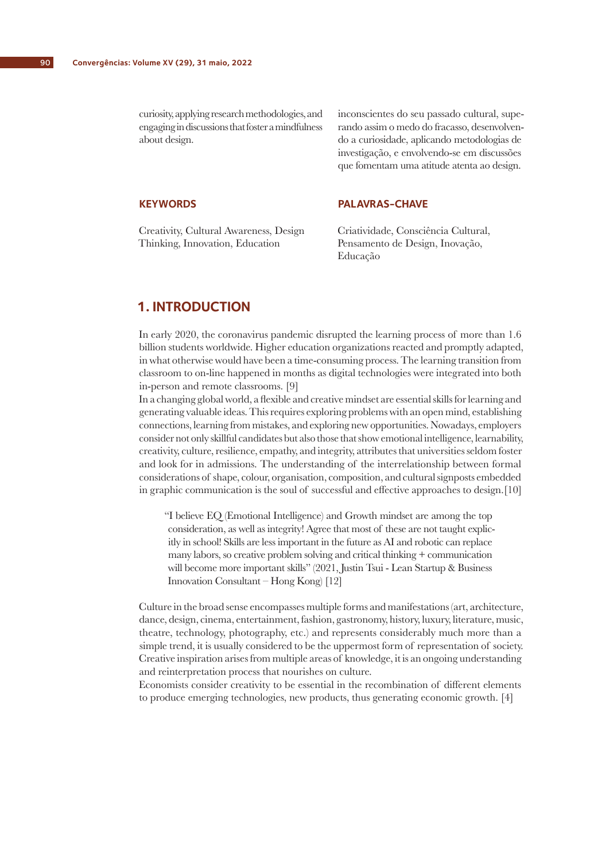curiosity, applying research methodologies, and engaging in discussions that foster a mindfulness about design.

inconscientes do seu passado cultural, superando assim o medo do fracasso, desenvolvendo a curiosidade, aplicando metodologias de investigação, e envolvendo-se em discussões que fomentam uma atitude atenta ao design.

### **PALAVRAS-CHAVE**

Criatividade, Consciência Cultural, Pensamento de Design, Inovação, Educação

### **KEYWORDS**

Creativity, Cultural Awareness, Design Thinking, Innovation, Education

# **1. INTRODUCTION**

In early 2020, the coronavirus pandemic disrupted the learning process of more than 1.6 billion students worldwide. Higher education organizations reacted and promptly adapted, in what otherwise would have been a time-consuming process. The learning transition from classroom to on-line happened in months as digital technologies were integrated into both in-person and remote classrooms. [9]

In a changing global world, a flexible and creative mindset are essential skills for learning and generating valuable ideas. This requires exploring problems with an open mind, establishing connections, learning from mistakes, and exploring new opportunities. Nowadays, employers consider not only skillful candidates but also those that show emotional intelligence, learnability, creativity, culture, resilience, empathy, and integrity, attributes that universities seldom foster and look for in admissions. The understanding of the interrelationship between formal considerations of shape, colour, organisation, composition, and cultural signposts embedded in graphic communication is the soul of successful and effective approaches to design.[10]

"I believe EQ (Emotional Intelligence) and Growth mindset are among the top consideration, as well as integrity! Agree that most of these are not taught explicitly in school! Skills are less important in the future as AI and robotic can replace many labors, so creative problem solving and critical thinking + communication will become more important skills" (2021, Justin Tsui - Lean Startup & Business Innovation Consultant – Hong Kong) [12]

Culture in the broad sense encompasses multiple forms and manifestations (art, architecture, dance, design, cinema, entertainment, fashion, gastronomy, history, luxury, literature, music, theatre, technology, photography, etc.) and represents considerably much more than a simple trend, it is usually considered to be the uppermost form of representation of society. Creative inspiration arises from multiple areas of knowledge, it is an ongoing understanding and reinterpretation process that nourishes on culture.

Economists consider creativity to be essential in the recombination of different elements to produce emerging technologies, new products, thus generating economic growth. [4]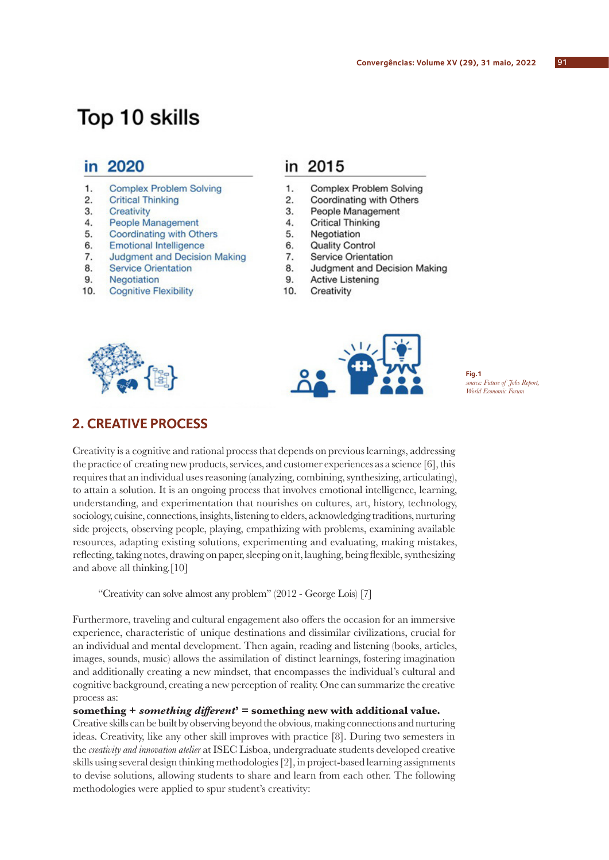# Top 10 skills

#### 2020 in

- $1.$ **Complex Problem Solving**
- 2. **Critical Thinking**
- 3. Creativity
- **People Management** 4
- 5. **Coordinating with Others**
- $\epsilon$ **Emotional Intelligence**
- $\overline{7}$ . **Judgment and Decision Making**
- 8. **Service Orientation**
- 9. Negotiation
- 10. **Cognitive Flexibility**

# in 2015

- $1.$ **Complex Problem Solving**
- $2.$ Coordinating with Others
- 3. People Management
- 4. **Critical Thinking**
- 5. Negotiation
- 6. **Quality Control** 7.
	- Service Orientation
- 8. Judgment and Decision Making
- 9. **Active Listening**
- $10.$ Creativity





**Fig.1** *source: Future of Jobs Report, World Economic Forum*

# **2. CREATIVE PROCESS**

Creativity is a cognitive and rational process that depends on previous learnings, addressing the practice of creating new products, services, and customer experiences as a science [6], this requires that an individual uses reasoning (analyzing, combining, synthesizing, articulating), to attain a solution. It is an ongoing process that involves emotional intelligence, learning, understanding, and experimentation that nourishes on cultures, art, history, technology, sociology, cuisine, connections, insights, listening to elders, acknowledging traditions, nurturing side projects, observing people, playing, empathizing with problems, examining available resources, adapting existing solutions, experimenting and evaluating, making mistakes, reflecting, taking notes, drawing on paper, sleeping on it, laughing, being flexible, synthesizing and above all thinking.[10]

"Creativity can solve almost any problem" (2012 - George Lois) [7]

Furthermore, traveling and cultural engagement also offers the occasion for an immersive experience, characteristic of unique destinations and dissimilar civilizations, crucial for an individual and mental development. Then again, reading and listening (books, articles, images, sounds, music) allows the assimilation of distinct learnings, fostering imagination and additionally creating a new mindset, that encompasses the individual's cultural and cognitive background, creating a new perception of reality. One can summarize the creative process as:

## **something +** *something different***' = something new with additional value.**

Creative skills can be built by observing beyond the obvious, making connections and nurturing ideas. Creativity, like any other skill improves with practice [8]. During two semesters in the *creativity and innovation atelier* at ISEC Lisboa, undergraduate students developed creative skills using several design thinking methodologies [2], in project-based learning assignments to devise solutions, allowing students to share and learn from each other. The following methodologies were applied to spur student's creativity: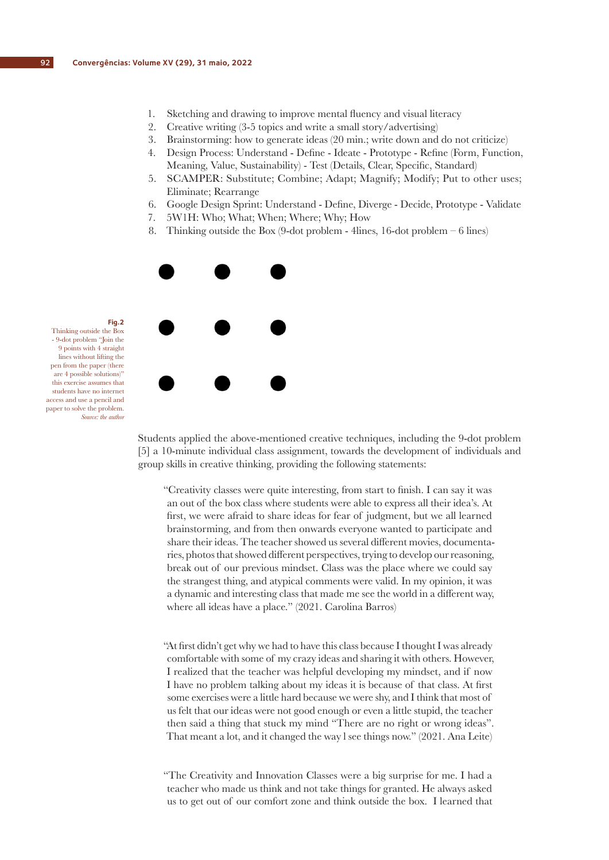- 1. Sketching and drawing to improve mental fluency and visual literacy
- 2. Creative writing (3-5 topics and write a small story/advertising)
- 3. Brainstorming: how to generate ideas (20 min.; write down and do not criticize)
- 4. Design Process: Understand Define Ideate Prototype Refine (Form, Function, Meaning, Value, Sustainability) - Test (Details, Clear, Specific, Standard)
- 5. SCAMPER: Substitute; Combine; Adapt; Magnify; Modify; Put to other uses; Eliminate; Rearrange
- 6. Google Design Sprint: Understand Define, Diverge Decide, Prototype Validate
- 7. 5W1H: Who; What; When; Where; Why; How
- 8. Thinking outside the Box (9-dot problem 4lines, 16-dot problem 6 lines)



**Fig.2** Thinking outside the Box

- 9-dot problem "Join the 9 points with 4 straight lines without lifting the pen from the paper (there are 4 possible solutions)" this exercise assumes that students have no internet access and use a pencil and paper to solve the problem. *Source: the author*

> Students applied the above-mentioned creative techniques, including the 9-dot problem [5] a 10-minute individual class assignment, towards the development of individuals and group skills in creative thinking, providing the following statements:

"Creativity classes were quite interesting, from start to finish. I can say it was an out of the box class where students were able to express all their idea's. At first, we were afraid to share ideas for fear of judgment, but we all learned brainstorming, and from then onwards everyone wanted to participate and share their ideas. The teacher showed us several different movies, documentaries, photos that showed different perspectives, trying to develop our reasoning, break out of our previous mindset. Class was the place where we could say the strangest thing, and atypical comments were valid. In my opinion, it was a dynamic and interesting class that made me see the world in a different way, where all ideas have a place." (2021. Carolina Barros)

"At first didn't get why we had to have this class because I thought I was already comfortable with some of my crazy ideas and sharing it with others. However, I realized that the teacher was helpful developing my mindset, and if now I have no problem talking about my ideas it is because of that class. At first some exercises were a little hard because we were shy, and I think that most of us felt that our ideas were not good enough or even a little stupid, the teacher then said a thing that stuck my mind "There are no right or wrong ideas". That meant a lot, and it changed the way l see things now." (2021. Ana Leite)

"The Creativity and Innovation Classes were a big surprise for me. I had a teacher who made us think and not take things for granted. He always asked us to get out of our comfort zone and think outside the box. I learned that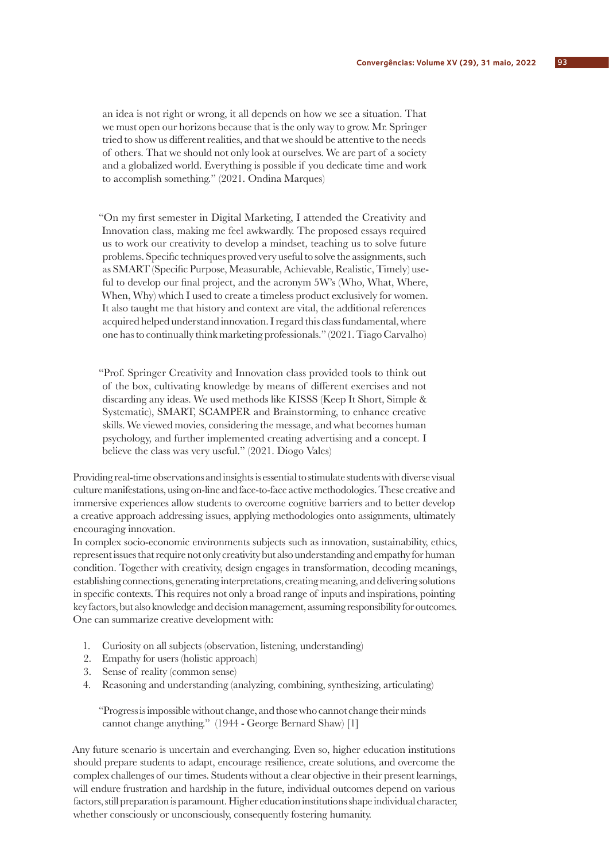an idea is not right or wrong, it all depends on how we see a situation. That we must open our horizons because that is the only way to grow. Mr. Springer tried to show us different realities, and that we should be attentive to the needs of others. That we should not only look at ourselves. We are part of a society and a globalized world. Everything is possible if you dedicate time and work to accomplish something." (2021. Ondina Marques)

"On my first semester in Digital Marketing, I attended the Creativity and Innovation class, making me feel awkwardly. The proposed essays required us to work our creativity to develop a mindset, teaching us to solve future problems. Specific techniques proved very useful to solve the assignments, such as SMART (Specific Purpose, Measurable, Achievable, Realistic, Timely) useful to develop our final project, and the acronym 5W's (Who, What, Where, When, Why) which I used to create a timeless product exclusively for women. It also taught me that history and context are vital, the additional references acquired helped understand innovation. I regard this class fundamental, where one has to continually think marketing professionals." (2021. Tiago Carvalho)

"Prof. Springer Creativity and Innovation class provided tools to think out of the box, cultivating knowledge by means of different exercises and not discarding any ideas. We used methods like KISSS (Keep It Short, Simple & Systematic), SMART, SCAMPER and Brainstorming, to enhance creative skills. We viewed movies, considering the message, and what becomes human psychology, and further implemented creating advertising and a concept. I believe the class was very useful." (2021. Diogo Vales)

Providing real-time observations and insights is essential to stimulate students with diverse visual culture manifestations, using on-line and face-to-face active methodologies. These creative and immersive experiences allow students to overcome cognitive barriers and to better develop a creative approach addressing issues, applying methodologies onto assignments, ultimately encouraging innovation.

In complex socio-economic environments subjects such as innovation, sustainability, ethics, represent issues that require not only creativity but also understanding and empathy for human condition. Together with creativity, design engages in transformation, decoding meanings, establishing connections, generating interpretations, creating meaning, and delivering solutions in specific contexts. This requires not only a broad range of inputs and inspirations, pointing key factors, but also knowledge and decision management, assuming responsibility for outcomes. One can summarize creative development with:

- 1. Curiosity on all subjects (observation, listening, understanding)
- 2. Empathy for users (holistic approach)
- 3. Sense of reality (common sense)
- 4. Reasoning and understanding (analyzing, combining, synthesizing, articulating)

"Progress is impossible without change, and those who cannot change their minds cannot change anything." (1944 - George Bernard Shaw) [1]

Any future scenario is uncertain and everchanging. Even so, higher education institutions should prepare students to adapt, encourage resilience, create solutions, and overcome the complex challenges of our times. Students without a clear objective in their present learnings, will endure frustration and hardship in the future, individual outcomes depend on various factors, still preparation is paramount. Higher education institutions shape individual character, whether consciously or unconsciously, consequently fostering humanity.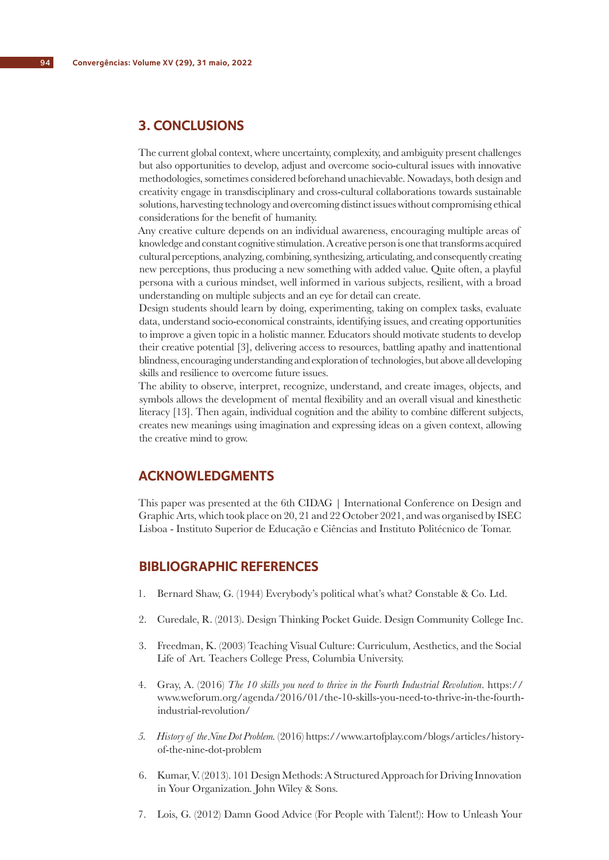## **3. CONCLUSIONS**

The current global context, where uncertainty, complexity, and ambiguity present challenges but also opportunities to develop, adjust and overcome socio-cultural issues with innovative methodologies, sometimes considered beforehand unachievable. Nowadays, both design and creativity engage in transdisciplinary and cross-cultural collaborations towards sustainable solutions, harvesting technology and overcoming distinct issues without compromising ethical considerations for the benefit of humanity.

Any creative culture depends on an individual awareness, encouraging multiple areas of knowledge and constant cognitive stimulation. A creative person is one that transforms acquired cultural perceptions, analyzing, combining, synthesizing, articulating, and consequently creating new perceptions, thus producing a new something with added value. Quite often, a playful persona with a curious mindset, well informed in various subjects, resilient, with a broad understanding on multiple subjects and an eye for detail can create.

Design students should learn by doing, experimenting, taking on complex tasks, evaluate data, understand socio-economical constraints, identifying issues, and creating opportunities to improve a given topic in a holistic manner. Educators should motivate students to develop their creative potential [3], delivering access to resources, battling apathy and inattentional blindness, encouraging understanding and exploration of technologies, but above all developing skills and resilience to overcome future issues.

The ability to observe, interpret, recognize, understand, and create images, objects, and symbols allows the development of mental flexibility and an overall visual and kinesthetic literacy [13]. Then again, individual cognition and the ability to combine different subjects, creates new meanings using imagination and expressing ideas on a given context, allowing the creative mind to grow.

## **ACKNOWLEDGMENTS**

This paper was presented at the 6th CIDAG | International Conference on Design and Graphic Arts, which took place on 20, 21 and 22 October 2021, and was organised by ISEC Lisboa - Instituto Superior de Educação e Ciências and Instituto Politécnico de Tomar.

## **BIBLIOGRAPHIC REFERENCES**

- 1. Bernard Shaw, G. (1944) Everybody's political what's what? Constable & Co. Ltd.
- 2. Curedale, R. (2013). Design Thinking Pocket Guide. Design Community College Inc.
- 3. Freedman, K. (2003) Teaching Visual Culture: Curriculum, Aesthetics, and the Social Life of Art*.* Teachers College Press, Columbia University.
- 4. Gray, A. (2016) *The 10 skills you need to thrive in the Fourth Industrial Revolution*. https:// www.weforum.org/agenda/2016/01/the-10-skills-you-need-to-thrive-in-the-fourthindustrial-revolution/
- *5. History of the Nine Dot Problem.* (2016) https://www.artofplay.com/blogs/articles/historyof-the-nine-dot-problem
- 6. Kumar, V. (2013). 101 Design Methods: A Structured Approach for Driving Innovation in Your Organization*.* John Wiley & Sons.
- 7. Lois, G. (2012) Damn Good Advice (For People with Talent!): How to Unleash Your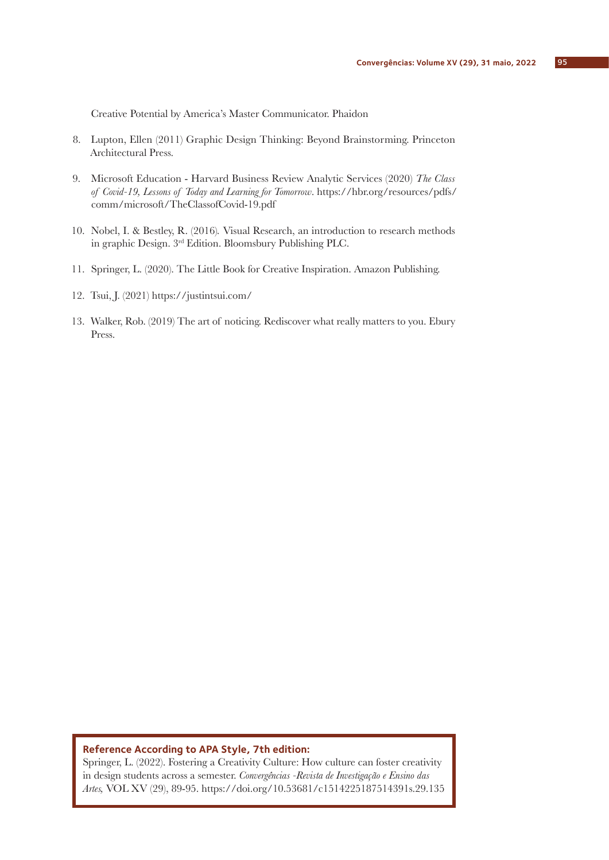Creative Potential by America's Master Communicator. Phaidon

- 8. Lupton, Ellen (2011) Graphic Design Thinking: Beyond Brainstorming. Princeton Architectural Press.
- 9. Microsoft Education Harvard Business Review Analytic Services (2020) *The Class of Covid-19, Lessons of Today and Learning for Tomorrow*. https://hbr.org/resources/pdfs/ comm/microsoft/TheClassofCovid-19.pdf
- 10. Nobel, I. & Bestley, R. (2016)*.* Visual Research, an introduction to research methods in graphic Design. 3rd Edition. Bloomsbury Publishing PLC.
- 11. Springer, L. (2020). The Little Book for Creative Inspiration. Amazon Publishing.
- 12. Tsui, J. (2021) https://justintsui.com/
- 13. Walker, Rob. (2019) The art of noticing. Rediscover what really matters to you. Ebury Press.

## **Reference According to APA Style, 7th edition:**

Springer, L. (2022). Fostering a Creativity Culture: How culture can foster creativity in design students across a semester. *Convergências -Revista de Investigação e Ensino das Artes,* VOL XV (29), 89-95. https://doi.org/10.53681/c1514225187514391s.29.135